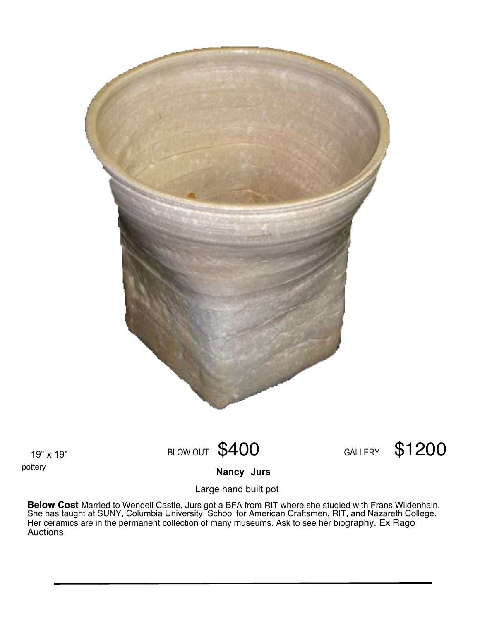

19" x 19" pottery

## BLOW OUT \$400 GALLERY \$1200

**Jurs Nancy**

Large hand built pot

**Below Cost** Married to Wendell Castle, Jurs got a BFA from RIT where she studied with Frans Wildenhain. She has taught at SUNY, Columbia University, School for American Craftsmen, RIT, and Nazareth College. Her ceramics are in the permanent collection of many museums. Ask to see her biography. Ex Rago Auctions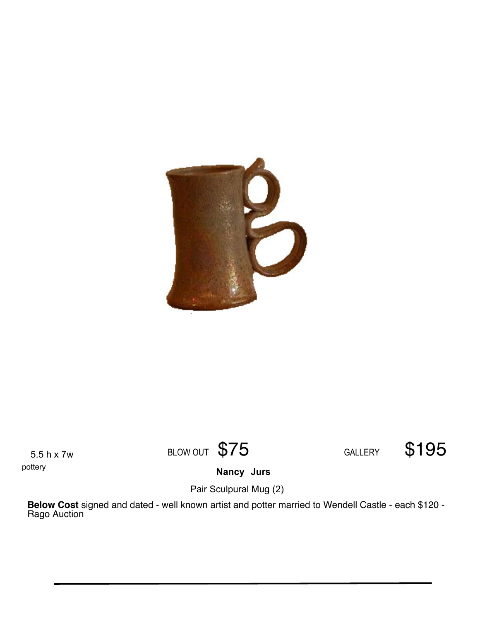

5.5 h x 7w pottery

BLOW OUT \$75 GALLERY \$195

**Jurs Nancy**

Pair Sculpural Mug (2)

**Below Cost** signed and dated - well known artist and potter married to Wendell Castle - each \$120 - Rago Auction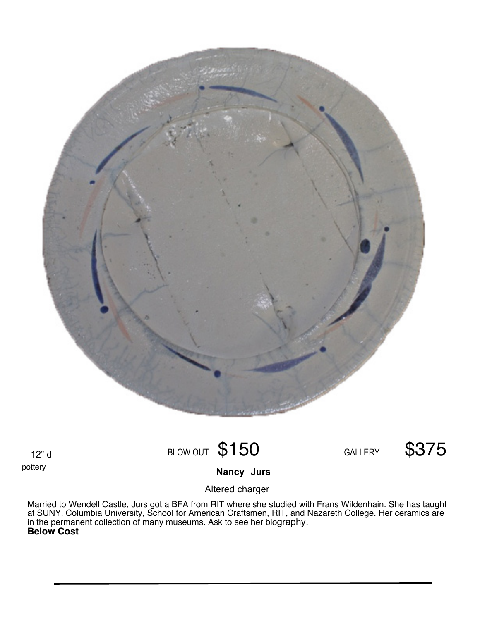

12" d pottery

## BLOW OUT \$150 GALLERY \$375

**Jurs Nancy**

Altered charger

Married to Wendell Castle, Jurs got a BFA from RIT where she studied with Frans Wildenhain. She has taught at SUNY, Columbia University, School for American Craftsmen, RIT, and Nazareth College. Her ceramics are in the permanent collection of many museums. Ask to see her biography. **Below Cost**